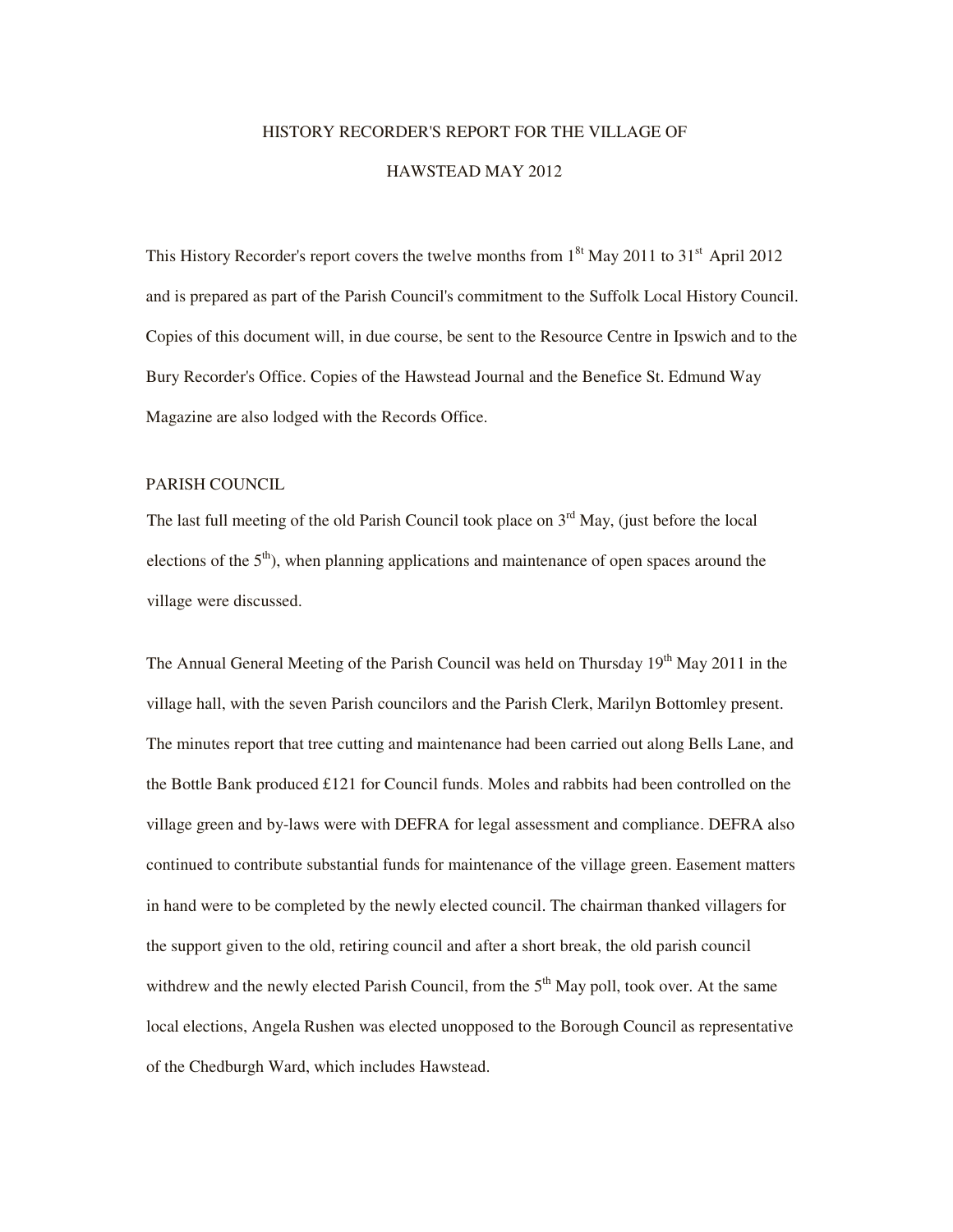# HISTORY RECORDER'S REPORT FOR THE VILLAGE OF HAWSTEAD MAY 2012

This History Recorder's report covers the twelve months from  $1^{8t}$  May 2011 to 31<sup>st</sup> April 2012 and is prepared as part of the Parish Council's commitment to the Suffolk Local History Council. Copies of this document will, in due course, be sent to the Resource Centre in Ipswich and to the Bury Recorder's Office. Copies of the Hawstead Journal and the Benefice St. Edmund Way Magazine are also lodged with the Records Office.

## PARISH COUNCIL

The last full meeting of the old Parish Council took place on  $3<sup>rd</sup>$  May, (just before the local elections of the  $5<sup>th</sup>$ ), when planning applications and maintenance of open spaces around the village were discussed.

The Annual General Meeting of the Parish Council was held on Thursday 19<sup>th</sup> May 2011 in the village hall, with the seven Parish councilors and the Parish Clerk, Marilyn Bottomley present. The minutes report that tree cutting and maintenance had been carried out along Bells Lane, and the Bottle Bank produced £121 for Council funds. Moles and rabbits had been controlled on the village green and by-laws were with DEFRA for legal assessment and compliance. DEFRA also continued to contribute substantial funds for maintenance of the village green. Easement matters in hand were to be completed by the newly elected council. The chairman thanked villagers for the support given to the old, retiring council and after a short break, the old parish council withdrew and the newly elected Parish Council, from the  $5<sup>th</sup>$  May poll, took over. At the same local elections, Angela Rushen was elected unopposed to the Borough Council as representative of the Chedburgh Ward, which includes Hawstead.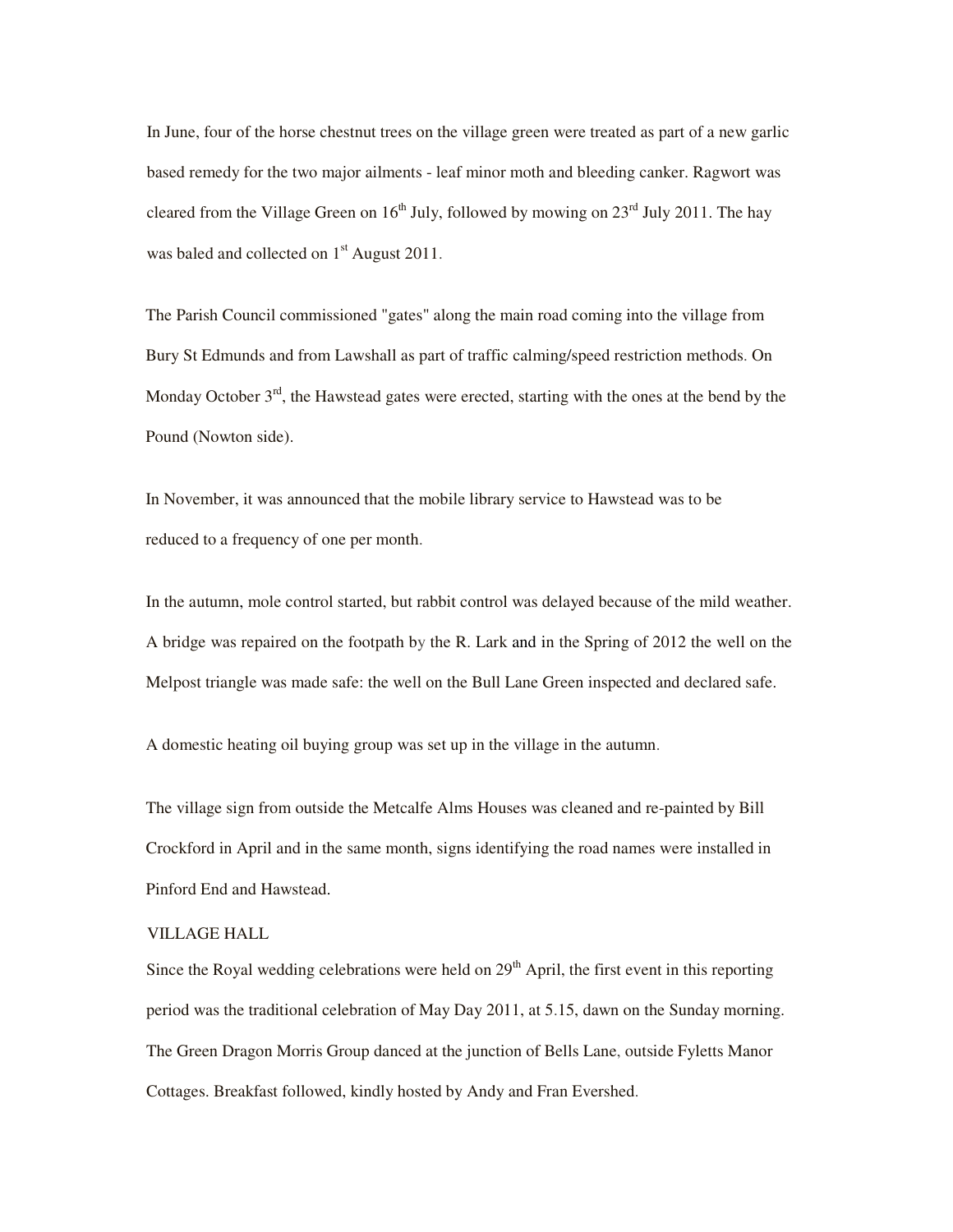In June, four of the horse chestnut trees on the village green were treated as part of a new garlic based remedy for the two major ailments - leaf minor moth and bleeding canker. Ragwort was cleared from the Village Green on  $16<sup>th</sup>$  July, followed by mowing on  $23<sup>rd</sup>$  July 2011. The hay was baled and collected on 1<sup>st</sup> August 2011.

The Parish Council commissioned "gates" along the main road coming into the village from Bury St Edmunds and from Lawshall as part of traffic calming/speed restriction methods. On Monday October  $3<sup>rd</sup>$ , the Hawstead gates were erected, starting with the ones at the bend by the Pound (Nowton side).

In November, it was announced that the mobile library service to Hawstead was to be reduced to a frequency of one per month.

In the autumn, mole control started, but rabbit control was delayed because of the mild weather. A bridge was repaired on the footpath by the R. Lark and in the Spring of 2012 the well on the Melpost triangle was made safe: the well on the Bull Lane Green inspected and declared safe.

A domestic heating oil buying group was set up in the village in the autumn.

The village sign from outside the Metcalfe Alms Houses was cleaned and re-painted by Bill Crockford in April and in the same month, signs identifying the road names were installed in Pinford End and Hawstead.

## VILLAGE HALL

Since the Royal wedding celebrations were held on  $29<sup>th</sup>$  April, the first event in this reporting period was the traditional celebration of May Day 2011, at 5.15, dawn on the Sunday morning. The Green Dragon Morris Group danced at the junction of Bells Lane, outside Fyletts Manor Cottages. Breakfast followed, kindly hosted by Andy and Fran Evershed.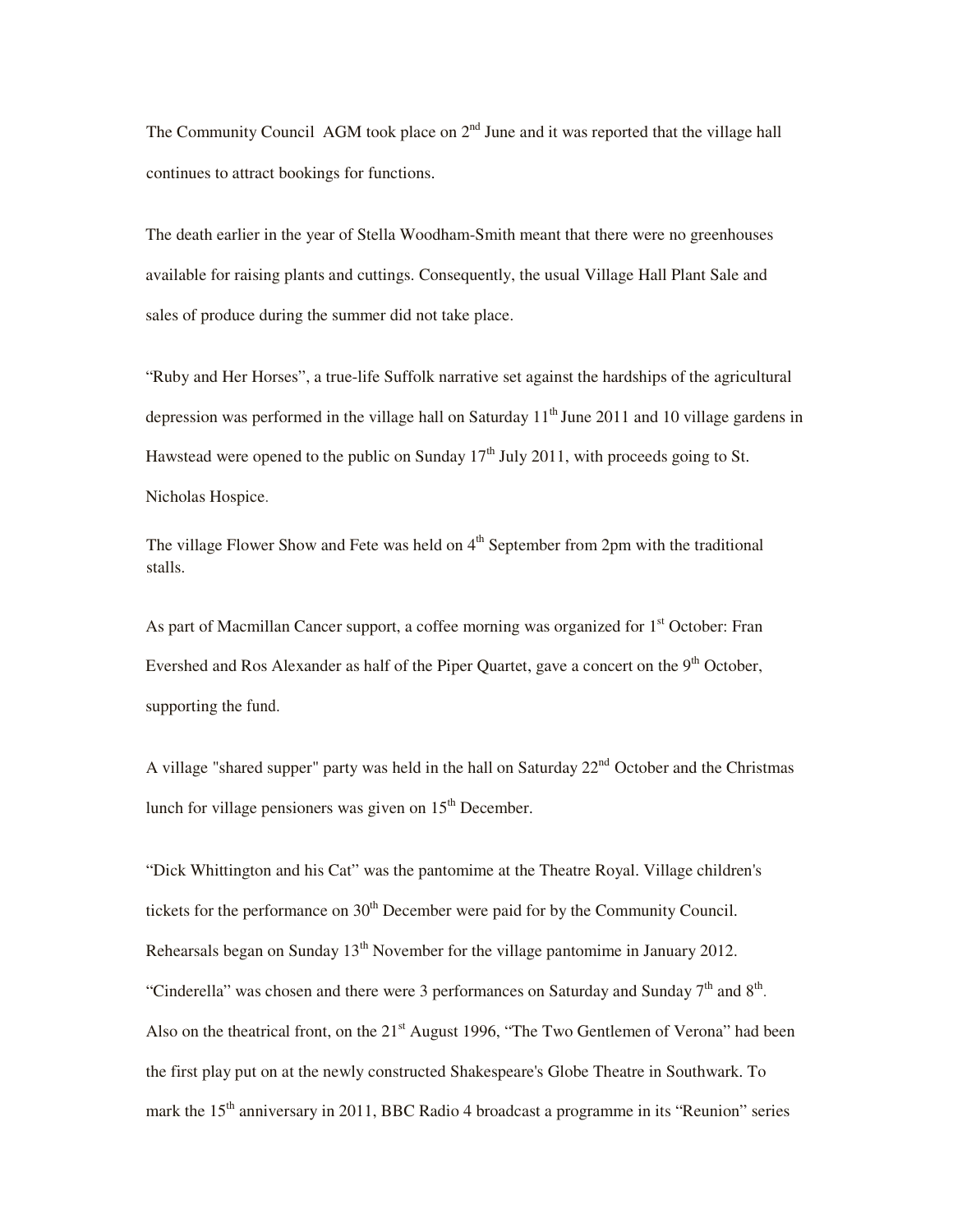The Community Council AGM took place on  $2<sup>nd</sup>$  June and it was reported that the village hall continues to attract bookings for functions.

The death earlier in the year of Stella Woodham-Smith meant that there were no greenhouses available for raising plants and cuttings. Consequently, the usual Village Hall Plant Sale and sales of produce during the summer did not take place.

"Ruby and Her Horses", a true-life Suffolk narrative set against the hardships of the agricultural depression was performed in the village hall on Saturday  $11<sup>th</sup>$  June 2011 and 10 village gardens in Hawstead were opened to the public on Sunday  $17<sup>th</sup>$  July 2011, with proceeds going to St. Nicholas Hospice.

The village Flower Show and Fete was held on  $4<sup>th</sup>$  September from 2pm with the traditional stalls.

As part of Macmillan Cancer support, a coffee morning was organized for 1<sup>st</sup> October: Fran Evershed and Ros Alexander as half of the Piper Quartet, gave a concert on the 9<sup>th</sup> October, supporting the fund.

A village "shared supper" party was held in the hall on Saturday  $22<sup>nd</sup>$  October and the Christmas lunch for village pensioners was given on  $15<sup>th</sup>$  December.

"Dick Whittington and his Cat" was the pantomime at the Theatre Royal. Village children's tickets for the performance on  $30<sup>th</sup>$  December were paid for by the Community Council. Rehearsals began on Sunday  $13<sup>th</sup>$  November for the village pantomime in January 2012. "Cinderella" was chosen and there were 3 performances on Saturday and Sunday  $7<sup>th</sup>$  and  $8<sup>th</sup>$ . Also on the theatrical front, on the 21<sup>st</sup> August 1996, "The Two Gentlemen of Verona" had been the first play put on at the newly constructed Shakespeare's Globe Theatre in Southwark. To mark the 15<sup>th</sup> anniversary in 2011, BBC Radio 4 broadcast a programme in its "Reunion" series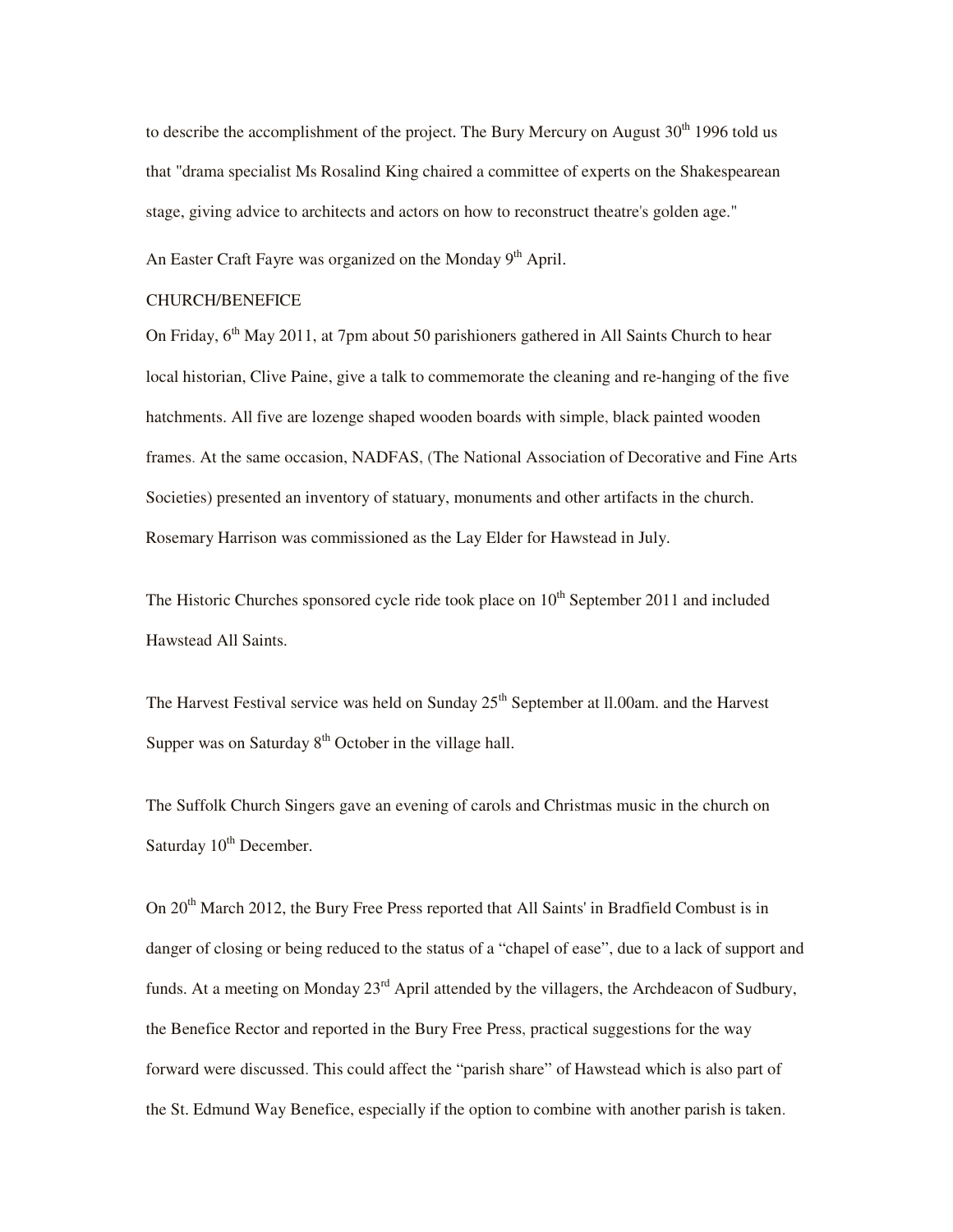to describe the accomplishment of the project. The Bury Mercury on August  $30<sup>th</sup> 1996$  told us that "drama specialist Ms Rosalind King chaired a committee of experts on the Shakespearean stage, giving advice to architects and actors on how to reconstruct theatre's golden age."

An Easter Craft Fayre was organized on the Monday 9<sup>th</sup> April.

## CHURCH/BENEFICE

On Friday,  $6<sup>th</sup>$  May 2011, at 7pm about 50 parishioners gathered in All Saints Church to hear local historian, Clive Paine, give a talk to commemorate the cleaning and re-hanging of the five hatchments. All five are lozenge shaped wooden boards with simple, black painted wooden frames. At the same occasion, NADFAS, (The National Association of Decorative and Fine Arts Societies) presented an inventory of statuary, monuments and other artifacts in the church. Rosemary Harrison was commissioned as the Lay Elder for Hawstead in July.

The Historic Churches sponsored cycle ride took place on  $10<sup>th</sup>$  September 2011 and included Hawstead All Saints.

The Harvest Festival service was held on Sunday  $25<sup>th</sup>$  September at II.00am, and the Harvest Supper was on Saturday  $8<sup>th</sup>$  October in the village hall.

The Suffolk Church Singers gave an evening of carols and Christmas music in the church on Saturday  $10^{th}$  December.

On 20<sup>th</sup> March 2012, the Bury Free Press reported that All Saints' in Bradfield Combust is in danger of closing or being reduced to the status of a "chapel of ease", due to a lack of support and funds. At a meeting on Monday  $23<sup>rd</sup>$  April attended by the villagers, the Archdeacon of Sudbury, the Benefice Rector and reported in the Bury Free Press, practical suggestions for the way forward were discussed. This could affect the "parish share" of Hawstead which is also part of the St. Edmund Way Benefice, especially if the option to combine with another parish is taken.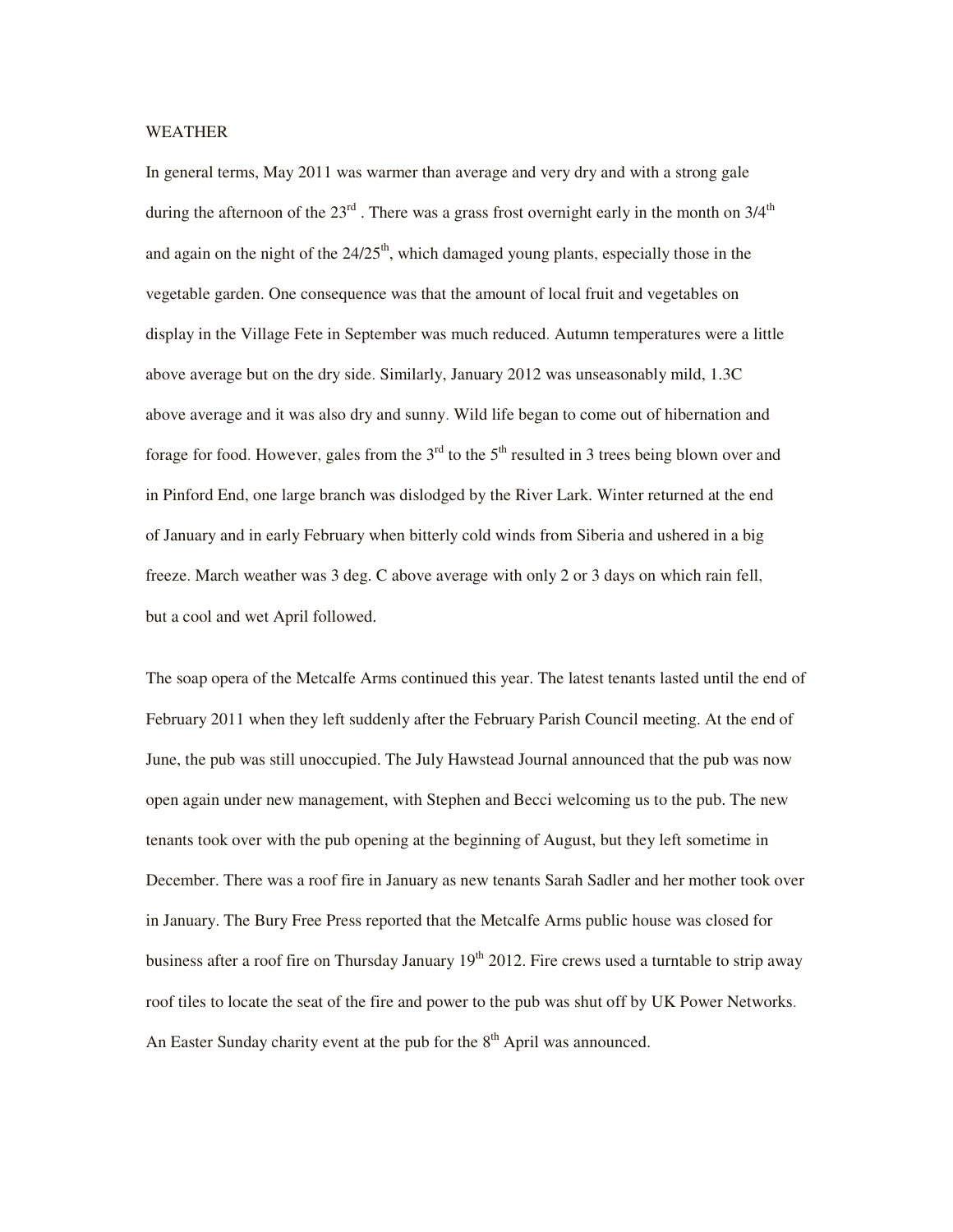#### WEATHER

In general terms, May 2011 was warmer than average and very dry and with a strong gale during the afternoon of the  $23<sup>rd</sup>$ . There was a grass frost overnight early in the month on  $3/4<sup>th</sup>$ and again on the night of the  $24/25<sup>th</sup>$ , which damaged young plants, especially those in the vegetable garden. One consequence was that the amount of local fruit and vegetables on display in the Village Fete in September was much reduced. Autumn temperatures were a little above average but on the dry side. Similarly, January 2012 was unseasonably mild, 1.3C above average and it was also dry and sunny. Wild life began to come out of hibernation and forage for food. However, gales from the  $3<sup>rd</sup>$  to the  $5<sup>th</sup>$  resulted in 3 trees being blown over and in Pinford End, one large branch was dislodged by the River Lark. Winter returned at the end of January and in early February when bitterly cold winds from Siberia and ushered in a big freeze. March weather was 3 deg. C above average with only 2 or 3 days on which rain fell, but a cool and wet April followed.

The soap opera of the Metcalfe Arms continued this year. The latest tenants lasted until the end of February 2011 when they left suddenly after the February Parish Council meeting. At the end of June, the pub was still unoccupied. The July Hawstead Journal announced that the pub was now open again under new management, with Stephen and Becci welcoming us to the pub. The new tenants took over with the pub opening at the beginning of August, but they left sometime in December. There was a roof fire in January as new tenants Sarah Sadler and her mother took over in January. The Bury Free Press reported that the Metcalfe Arms public house was closed for business after a roof fire on Thursday January  $19<sup>th</sup>$  2012. Fire crews used a turntable to strip away roof tiles to locate the seat of the fire and power to the pub was shut off by UK Power Networks. An Easter Sunday charity event at the pub for the  $8<sup>th</sup>$  April was announced.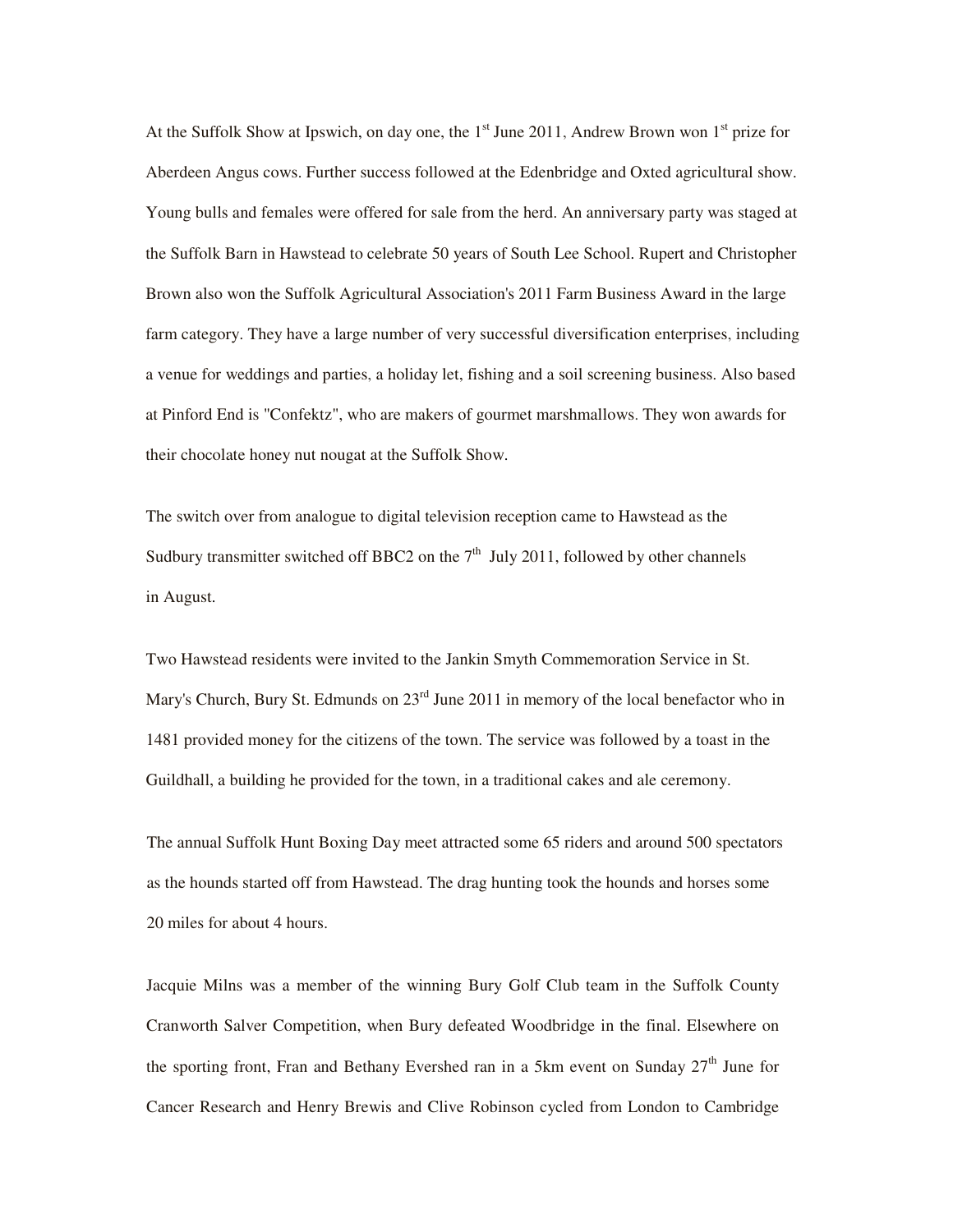At the Suffolk Show at Ipswich, on day one, the  $1<sup>st</sup>$  June 2011, Andrew Brown won  $1<sup>st</sup>$  prize for Aberdeen Angus cows. Further success followed at the Edenbridge and Oxted agricultural show. Young bulls and females were offered for sale from the herd. An anniversary party was staged at the Suffolk Barn in Hawstead to celebrate 50 years of South Lee School. Rupert and Christopher Brown also won the Suffolk Agricultural Association's 2011 Farm Business Award in the large farm category. They have a large number of very successful diversification enterprises, including a venue for weddings and parties, a holiday let, fishing and a soil screening business. Also based at Pinford End is "Confektz", who are makers of gourmet marshmallows. They won awards for their chocolate honey nut nougat at the Suffolk Show.

The switch over from analogue to digital television reception came to Hawstead as the Sudbury transmitter switched off BBC2 on the  $7<sup>th</sup>$  July 2011, followed by other channels in August.

Two Hawstead residents were invited to the Jankin Smyth Commemoration Service in St. Mary's Church, Bury St. Edmunds on 23<sup>rd</sup> June 2011 in memory of the local benefactor who in 1481 provided money for the citizens of the town. The service was followed by a toast in the Guildhall, a building he provided for the town, in a traditional cakes and ale ceremony.

The annual Suffolk Hunt Boxing Day meet attracted some 65 riders and around 500 spectators as the hounds started off from Hawstead. The drag hunting took the hounds and horses some 20 miles for about 4 hours.

Jacquie Milns was a member of the winning Bury Golf Club team in the Suffolk County Cranworth Salver Competition, when Bury defeated Woodbridge in the final. Elsewhere on the sporting front, Fran and Bethany Evershed ran in a 5km event on Sunday  $27<sup>th</sup>$  June for Cancer Research and Henry Brewis and Clive Robinson cycled from London to Cambridge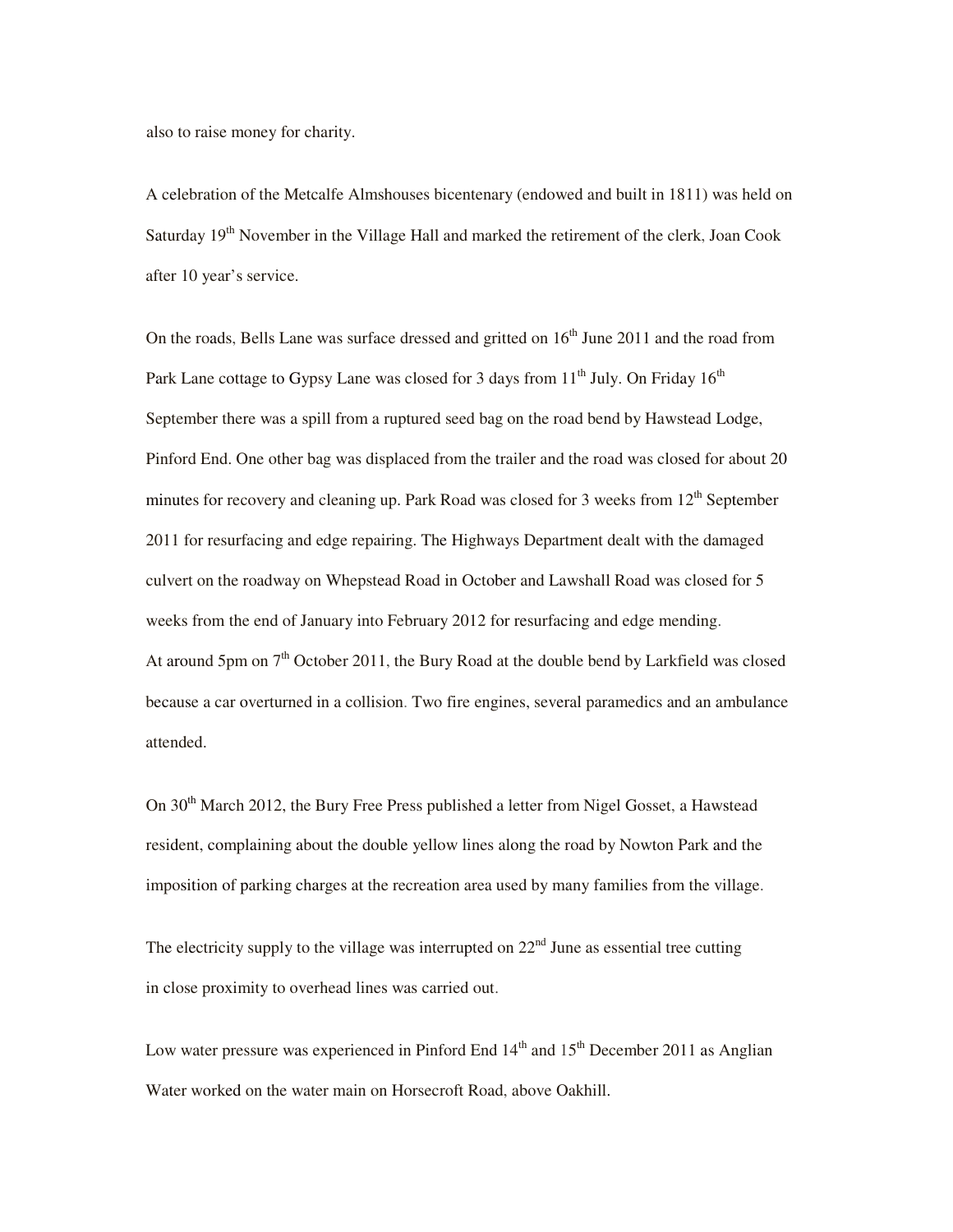also to raise money for charity.

A celebration of the Metcalfe Almshouses bicentenary (endowed and built in 1811) was held on Saturday  $19<sup>th</sup>$  November in the Village Hall and marked the retirement of the clerk, Joan Cook after 10 year's service.

On the roads, Bells Lane was surface dressed and gritted on  $16<sup>th</sup>$  June 2011 and the road from Park Lane cottage to Gypsy Lane was closed for 3 days from  $11<sup>th</sup>$  July. On Friday  $16<sup>th</sup>$ September there was a spill from a ruptured seed bag on the road bend by Hawstead Lodge, Pinford End. One other bag was displaced from the trailer and the road was closed for about 20 minutes for recovery and cleaning up. Park Road was closed for 3 weeks from  $12<sup>th</sup>$  September 2011 for resurfacing and edge repairing. The Highways Department dealt with the damaged culvert on the roadway on Whepstead Road in October and Lawshall Road was closed for 5 weeks from the end of January into February 2012 for resurfacing and edge mending. At around 5pm on  $7<sup>th</sup>$  October 2011, the Bury Road at the double bend by Larkfield was closed because a car overturned in a collision. Two fire engines, several paramedics and an ambulance attended.

On 30<sup>th</sup> March 2012, the Bury Free Press published a letter from Nigel Gosset, a Hawstead resident, complaining about the double yellow lines along the road by Nowton Park and the imposition of parking charges at the recreation area used by many families from the village.

The electricity supply to the village was interrupted on  $22<sup>nd</sup>$  June as essential tree cutting in close proximity to overhead lines was carried out.

Low water pressure was experienced in Pinford End  $14<sup>th</sup>$  and  $15<sup>th</sup>$  December 2011 as Anglian Water worked on the water main on Horsecroft Road, above Oakhill.